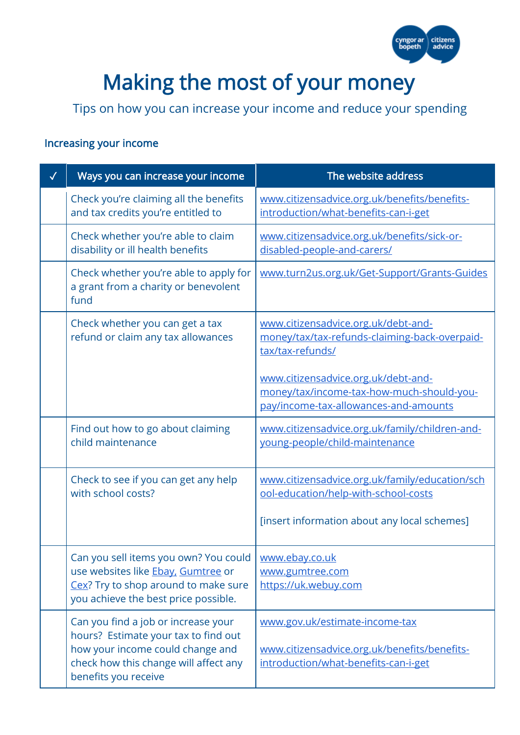

## Making the most of your money

Tips on how you can increase your income and reduce your spending

## Increasing your income

| Ways you can increase your income                                                                                                                                                | The website address                                                                                                       |
|----------------------------------------------------------------------------------------------------------------------------------------------------------------------------------|---------------------------------------------------------------------------------------------------------------------------|
| Check you're claiming all the benefits<br>and tax credits you're entitled to                                                                                                     | www.citizensadvice.org.uk/benefits/benefits-<br>introduction/what-benefits-can-i-get                                      |
| Check whether you're able to claim<br>disability or ill health benefits                                                                                                          | www.citizensadvice.org.uk/benefits/sick-or-<br>disabled-people-and-carers/                                                |
| Check whether you're able to apply for<br>a grant from a charity or benevolent<br>fund                                                                                           | www.turn2us.org.uk/Get-Support/Grants-Guides                                                                              |
| Check whether you can get a tax<br>refund or claim any tax allowances                                                                                                            | www.citizensadvice.org.uk/debt-and-<br>money/tax/tax-refunds-claiming-back-overpaid-<br>tax/tax-refunds/                  |
|                                                                                                                                                                                  | www.citizensadvice.org.uk/debt-and-<br>money/tax/income-tax-how-much-should-you-<br>pay/income-tax-allowances-and-amounts |
| Find out how to go about claiming<br>child maintenance                                                                                                                           | www.citizensadvice.org.uk/family/children-and-<br>young-people/child-maintenance                                          |
| Check to see if you can get any help<br>with school costs?                                                                                                                       | www.citizensadvice.org.uk/family/education/sch<br>ool-education/help-with-school-costs                                    |
|                                                                                                                                                                                  | [insert information about any local schemes]                                                                              |
| Can you sell items you own? You could<br>use websites like Ebay, Gumtree or<br>Cex? Try to shop around to make sure<br>you achieve the best price possible.                      | www.ebay.co.uk<br>www.gumtree.com<br>https://uk.webuy.com                                                                 |
| Can you find a job or increase your<br>hours? Estimate your tax to find out<br>how your income could change and<br>check how this change will affect any<br>benefits you receive | www.gov.uk/estimate-income-tax<br>www.citizensadvice.org.uk/benefits/benefits-<br>introduction/what-benefits-can-i-get    |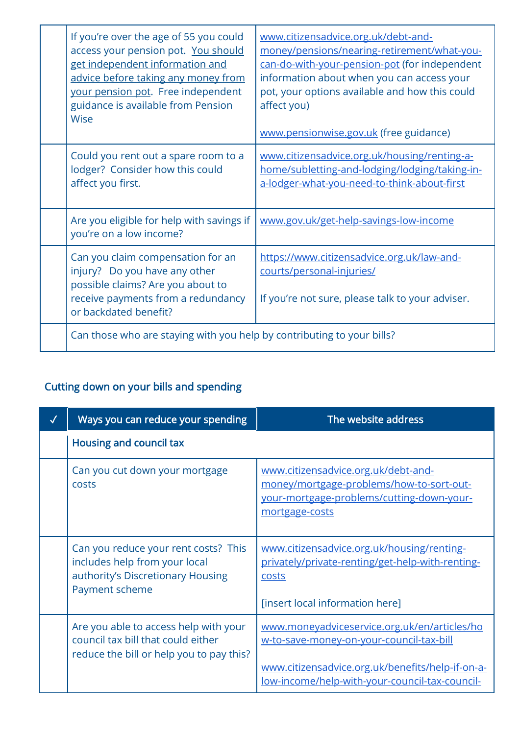| If you're over the age of 55 you could<br>access your pension pot. You should<br>get independent information and<br>advice before taking any money from<br>your pension pot. Free independent<br>guidance is available from Pension<br><b>Wise</b> | www.citizensadvice.org.uk/debt-and-<br>money/pensions/nearing-retirement/what-you-<br>can-do-with-your-pension-pot (for independent<br>information about when you can access your<br>pot, your options available and how this could<br>affect you)<br>www.pensionwise.gov.uk (free guidance) |
|----------------------------------------------------------------------------------------------------------------------------------------------------------------------------------------------------------------------------------------------------|----------------------------------------------------------------------------------------------------------------------------------------------------------------------------------------------------------------------------------------------------------------------------------------------|
| Could you rent out a spare room to a<br>lodger? Consider how this could<br>affect you first.                                                                                                                                                       | www.citizensadvice.org.uk/housing/renting-a-<br>home/subletting-and-lodging/lodging/taking-in-<br>a-lodger-what-you-need-to-think-about-first                                                                                                                                                |
| Are you eligible for help with savings if<br>you're on a low income?                                                                                                                                                                               | www.gov.uk/get-help-savings-low-income                                                                                                                                                                                                                                                       |
| Can you claim compensation for an<br>injury? Do you have any other<br>possible claims? Are you about to<br>receive payments from a redundancy<br>or backdated benefit?                                                                             | https://www.citizensadvice.org.uk/law-and-<br>courts/personal-injuries/<br>If you're not sure, please talk to your adviser.                                                                                                                                                                  |
| Can those who are staying with you help by contributing to your bills?                                                                                                                                                                             |                                                                                                                                                                                                                                                                                              |

## Cutting down on your bills and spending

| Ways you can reduce your spending                                                                                            | The website address                                                                                                                                                                                   |
|------------------------------------------------------------------------------------------------------------------------------|-------------------------------------------------------------------------------------------------------------------------------------------------------------------------------------------------------|
| Housing and council tax                                                                                                      |                                                                                                                                                                                                       |
| Can you cut down your mortgage<br>costs                                                                                      | www.citizensadvice.org.uk/debt-and-<br>money/mortgage-problems/how-to-sort-out-<br>your-mortgage-problems/cutting-down-your-<br>mortgage-costs                                                        |
| Can you reduce your rent costs? This<br>includes help from your local<br>authority's Discretionary Housing<br>Payment scheme | www.citizensadvice.org.uk/housing/renting-<br>privately/private-renting/get-help-with-renting-<br>costs<br>[insert local information here]                                                            |
| Are you able to access help with your<br>council tax bill that could either<br>reduce the bill or help you to pay this?      | www.moneyadviceservice.org.uk/en/articles/ho<br>w-to-save-money-on-your-council-tax-bill<br>www.citizensadvice.org.uk/benefits/help-if-on-a-<br><u>low-income/help-with-your-council-tax-council-</u> |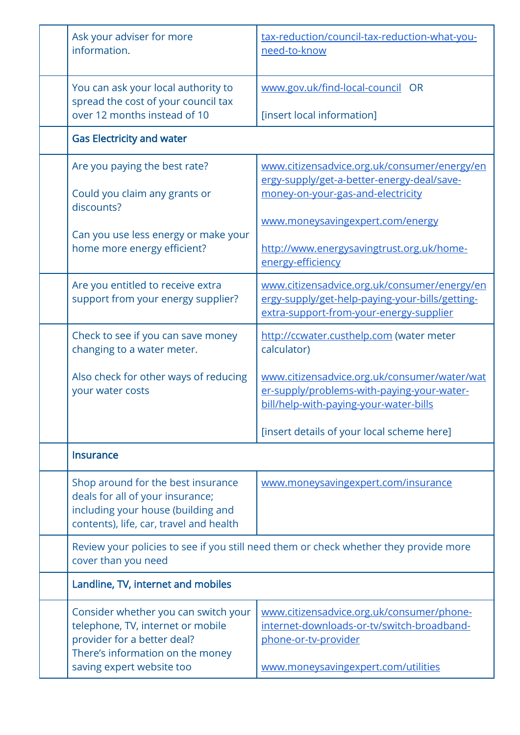| Ask your adviser for more<br>information.                                                                                                               | tax-reduction/council-tax-reduction-what-you-<br>need-to-know                                                                              |  |
|---------------------------------------------------------------------------------------------------------------------------------------------------------|--------------------------------------------------------------------------------------------------------------------------------------------|--|
| You can ask your local authority to<br>spread the cost of your council tax<br>over 12 months instead of 10                                              | www.gov.uk/find-local-council OR<br>[insert local information]                                                                             |  |
| <b>Gas Electricity and water</b>                                                                                                                        |                                                                                                                                            |  |
| Are you paying the best rate?<br>Could you claim any grants or<br>discounts?                                                                            | www.citizensadvice.org.uk/consumer/energy/en<br>ergy-supply/get-a-better-energy-deal/save-<br>money-on-your-gas-and-electricity            |  |
| Can you use less energy or make your<br>home more energy efficient?                                                                                     | www.moneysavingexpert.com/energy<br>http://www.energysavingtrust.org.uk/home-<br>energy-efficiency                                         |  |
| Are you entitled to receive extra<br>support from your energy supplier?                                                                                 | www.citizensadvice.org.uk/consumer/energy/en<br>ergy-supply/get-help-paying-your-bills/getting-<br>extra-support-from-your-energy-supplier |  |
| Check to see if you can save money<br>changing to a water meter.                                                                                        | http://ccwater.custhelp.com (water meter<br>calculator)                                                                                    |  |
| Also check for other ways of reducing<br>your water costs                                                                                               | www.citizensadvice.org.uk/consumer/water/wat<br>er-supply/problems-with-paying-your-water-<br>bill/help-with-paying-your-water-bills       |  |
|                                                                                                                                                         | [insert details of your local scheme here]                                                                                                 |  |
| <b>Insurance</b>                                                                                                                                        |                                                                                                                                            |  |
| Shop around for the best insurance<br>deals for all of your insurance;<br>including your house (building and<br>contents), life, car, travel and health | www.moneysavingexpert.com/insurance                                                                                                        |  |
| cover than you need                                                                                                                                     | Review your policies to see if you still need them or check whether they provide more                                                      |  |
|                                                                                                                                                         | Landline, TV, internet and mobiles                                                                                                         |  |
| Consider whether you can switch your<br>telephone, TV, internet or mobile<br>provider for a better deal?<br>There's information on the money            | www.citizensadvice.org.uk/consumer/phone-<br>internet-downloads-or-tv/switch-broadband-<br>phone-or-tv-provider                            |  |
| saving expert website too                                                                                                                               | www.moneysavingexpert.com/utilities                                                                                                        |  |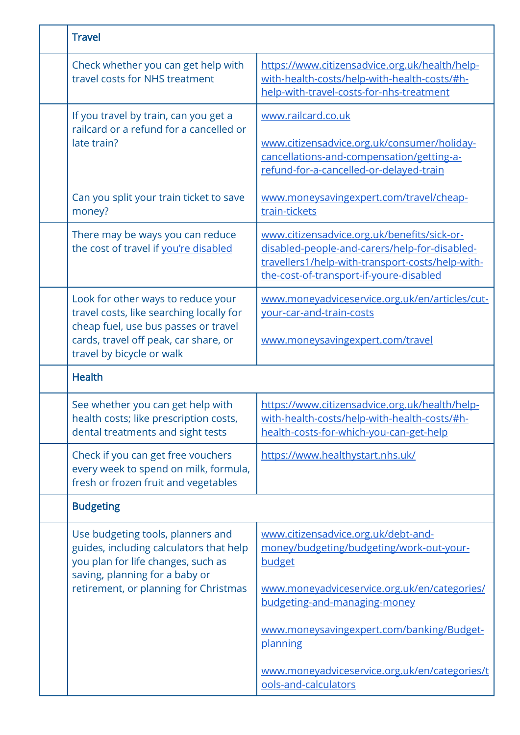| <b>Travel</b>                                                                                                                                                                                 |                                                                                                                                                                                                                                    |
|-----------------------------------------------------------------------------------------------------------------------------------------------------------------------------------------------|------------------------------------------------------------------------------------------------------------------------------------------------------------------------------------------------------------------------------------|
| Check whether you can get help with<br>travel costs for NHS treatment                                                                                                                         | https://www.citizensadvice.org.uk/health/help-<br>with-health-costs/help-with-health-costs/#h-<br>help-with-travel-costs-for-nhs-treatment                                                                                         |
| If you travel by train, can you get a<br>railcard or a refund for a cancelled or<br>late train?                                                                                               | www.railcard.co.uk<br>www.citizensadvice.org.uk/consumer/holiday-<br>cancellations-and-compensation/getting-a-<br>refund-for-a-cancelled-or-delayed-train                                                                          |
| Can you split your train ticket to save<br>money?                                                                                                                                             | www.moneysavingexpert.com/travel/cheap-<br>train-tickets                                                                                                                                                                           |
| There may be ways you can reduce<br>the cost of travel if you're disabled                                                                                                                     | www.citizensadvice.org.uk/benefits/sick-or-<br>disabled-people-and-carers/help-for-disabled-<br>travellers1/help-with-transport-costs/help-with-<br>the-cost-of-transport-if-youre-disabled                                        |
| Look for other ways to reduce your<br>travel costs, like searching locally for<br>cheap fuel, use bus passes or travel<br>cards, travel off peak, car share, or<br>travel by bicycle or walk  | www.moneyadviceservice.org.uk/en/articles/cut-<br>your-car-and-train-costs<br>www.moneysavingexpert.com/travel                                                                                                                     |
| <b>Health</b>                                                                                                                                                                                 |                                                                                                                                                                                                                                    |
| See whether you can get help with<br>health costs; like prescription costs,<br>dental treatments and sight tests                                                                              | https://www.citizensadvice.org.uk/health/help-<br><u>with-health-costs/help-with-health-costs/#h-</u><br>health-costs-for-which-you-can-get-help                                                                                   |
| Check if you can get free vouchers<br>every week to spend on milk, formula,<br>fresh or frozen fruit and vegetables                                                                           | https://www.healthystart.nhs.uk/                                                                                                                                                                                                   |
| <b>Budgeting</b>                                                                                                                                                                              |                                                                                                                                                                                                                                    |
| Use budgeting tools, planners and<br>guides, including calculators that help<br>you plan for life changes, such as<br>saving, planning for a baby or<br>retirement, or planning for Christmas | www.citizensadvice.org.uk/debt-and-<br>money/budgeting/budgeting/work-out-your-<br>budget<br>www.moneyadviceservice.org.uk/en/categories/<br>budgeting-and-managing-money<br>www.moneysavingexpert.com/banking/Budget-<br>planning |
|                                                                                                                                                                                               | www.moneyadviceservice.org.uk/en/categories/t<br>ools-and-calculators                                                                                                                                                              |